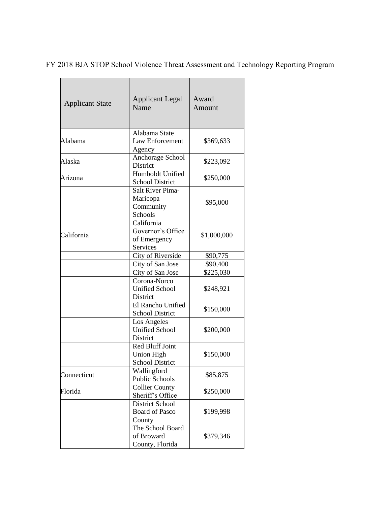FY 2018 BJA STOP School Violence Threat Assessment and Technology Reporting Program

| <b>Applicant State</b> | <b>Applicant Legal</b><br>Name                                 | Award<br>Amount |
|------------------------|----------------------------------------------------------------|-----------------|
| Alabama                | Alabama State<br>Law Enforcement<br>Agency                     | \$369,633       |
| Alaska                 | Anchorage School<br>District                                   | \$223,092       |
| Arizona                | Humboldt Unified<br><b>School District</b>                     | \$250,000       |
|                        | <b>Salt River Pima-</b><br>Maricopa<br>Community<br>Schools    | \$95,000        |
| California             | California<br>Governor's Office<br>of Emergency<br>Services    | \$1,000,000     |
|                        | City of Riverside                                              | \$90,775        |
|                        | City of San Jose                                               | \$90,400        |
|                        | City of San Jose                                               | \$225,030       |
|                        | Corona-Norco<br><b>Unified School</b><br>District              | \$248,921       |
|                        | El Rancho Unified<br><b>School District</b>                    | \$150,000       |
|                        | Los Angeles<br><b>Unified School</b><br><b>District</b>        | \$200,000       |
|                        | <b>Red Bluff Joint</b><br>Union High<br><b>School District</b> | \$150,000       |
| Connecticut            | Wallingford<br><b>Public Schools</b>                           | \$85,875        |
| Florida                | <b>Collier County</b><br>Sheriff's Office                      | \$250,000       |
|                        | <b>District School</b><br><b>Board of Pasco</b><br>County      | \$199,998       |
|                        | The School Board<br>of Broward<br>County, Florida              | \$379,346       |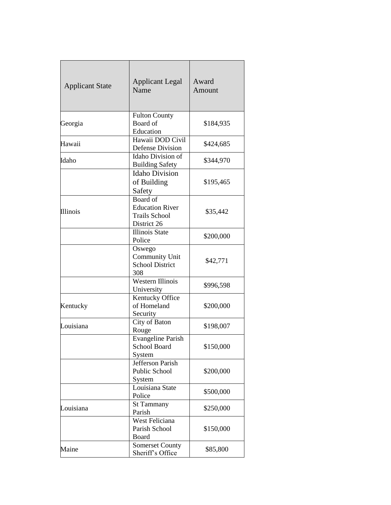| <b>Applicant State</b> | <b>Applicant Legal</b><br>Name                                            | Award<br>Amount |
|------------------------|---------------------------------------------------------------------------|-----------------|
| Georgia                | <b>Fulton County</b><br>Board of<br>Education                             | \$184,935       |
| Hawaii                 | Hawaii DOD Civil<br><b>Defense Division</b>                               | \$424,685       |
| Idaho                  | Idaho Division of<br><b>Building Safety</b>                               | \$344,970       |
|                        | <b>Idaho Division</b><br>of Building<br>Safety                            | \$195,465       |
| Illinois               | Board of<br><b>Education River</b><br><b>Trails School</b><br>District 26 | \$35,442        |
|                        | <b>Illinois State</b><br>Police                                           | \$200,000       |
|                        | Oswego<br><b>Community Unit</b><br><b>School District</b><br>308          | \$42,771        |
|                        | Western Illinois<br>University                                            | \$996,598       |
| Kentucky               | Kentucky Office<br>of Homeland<br>Security                                | \$200,000       |
| Louisiana              | City of Baton<br>Rouge                                                    | \$198,007       |
|                        | <b>Evangeline Parish</b><br>School Board<br>System                        | \$150,000       |
|                        | Jefferson Parish<br>Public School<br>System                               | \$200,000       |
|                        | Louisiana State<br>Police                                                 | \$500,000       |
| Louisiana              | <b>St Tammany</b><br>Parish                                               | \$250,000       |
|                        | <b>West Feliciana</b><br>Parish School<br>Board                           | \$150,000       |
| Maine                  | Somerset County<br>Sheriff's Office                                       | \$85,800        |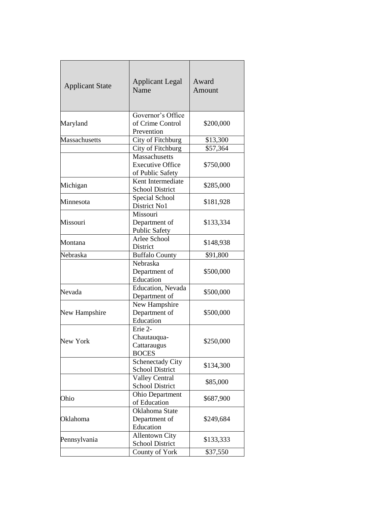| <b>Applicant State</b> | <b>Applicant Legal</b><br>Name                               | Award<br>Amount |
|------------------------|--------------------------------------------------------------|-----------------|
| Maryland               | Governor's Office<br>of Crime Control<br>Prevention          | \$200,000       |
| Massachusetts          | City of Fitchburg                                            | \$13,300        |
|                        | City of Fitchburg                                            | \$57,364        |
|                        | Massachusetts<br><b>Executive Office</b><br>of Public Safety | \$750,000       |
| Michigan               | Kent Intermediate<br><b>School District</b>                  | \$285,000       |
| Minnesota              | Special School<br>District No1                               | \$181,928       |
| Missouri               | Missouri<br>Department of<br><b>Public Safety</b>            | \$133,334       |
| Montana                | Arlee School<br>District                                     | \$148,938       |
| Nebraska               | <b>Buffalo County</b>                                        | \$91,800        |
|                        | Nebraska<br>Department of<br>Education                       | \$500,000       |
| Nevada                 | Education, Nevada<br>Department of                           | \$500,000       |
| New Hampshire          | New Hampshire<br>Department of<br>Education                  | \$500,000       |
| New York               | Erie 2-<br>Chautauqua-<br>Cattaraugus<br><b>BOCES</b>        | \$250,000       |
|                        | <b>Schenectady City</b><br><b>School District</b>            | \$134,300       |
|                        | Valley Central<br><b>School District</b>                     | \$85,000        |
| Ohio                   | Ohio Department<br>of Education                              | \$687,900       |
| Oklahoma               | Oklahoma State<br>Department of<br>Education                 | \$249,684       |
| Pennsylvania           | <b>Allentown City</b><br><b>School District</b>              | \$133,333       |
|                        | County of York                                               | \$37,550        |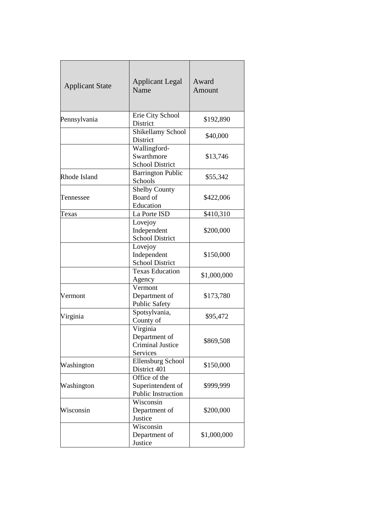| <b>Applicant State</b> | <b>Applicant Legal</b><br>Name                                   | Award<br>Amount |
|------------------------|------------------------------------------------------------------|-----------------|
| Pennsylvania           | Erie City School<br>District                                     | \$192,890       |
|                        | Shikellamy School<br>District                                    | \$40,000        |
|                        | Wallingford-<br>Swarthmore<br><b>School District</b>             | \$13,746        |
| Rhode Island           | <b>Barrington Public</b><br>Schools                              | \$55,342        |
| Tennessee              | <b>Shelby County</b><br>Board of<br>Education                    | \$422,006       |
| Texas                  | La Porte ISD                                                     | \$410,310       |
|                        | Lovejoy<br>Independent<br><b>School District</b>                 | \$200,000       |
|                        | Lovejoy<br>Independent<br><b>School District</b>                 | \$150,000       |
|                        | <b>Texas Education</b><br>Agency                                 | \$1,000,000     |
| Vermont                | Vermont<br>Department of<br><b>Public Safety</b>                 | \$173,780       |
| Virginia               | Spotsylvania,<br>County of                                       | \$95,472        |
|                        | Virginia<br>Department of<br><b>Criminal Justice</b><br>Services | \$869,508       |
| Washington             | Ellensburg School<br>District 401                                | \$150,000       |
| Washington             | Office of the<br>Superintendent of<br>Public Instruction         | \$999,999       |
| Wisconsin              | Wisconsin<br>Department of<br>Justice                            | \$200,000       |
|                        | Wisconsin<br>Department of<br>Justice                            | \$1,000,000     |